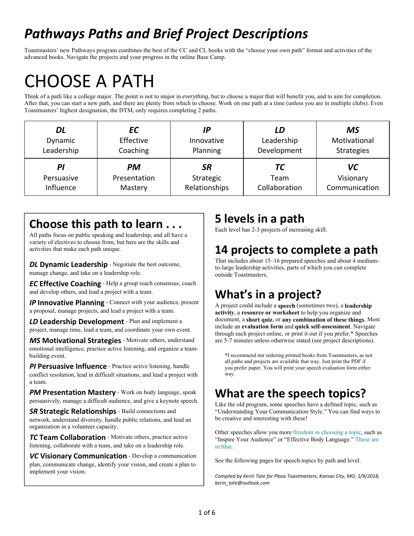## *Pathways Paths and Brief Project Descriptions*

Toastmasters' new Pathways program combines the best of the CC and CL books with the "choose your own path" format and activities of the advanced books. Navigate the projects and your progress in the online Base Camp.

# CHOOSE A PATH

Think of a path like a college major. The point is not to major in *everything*, but to choose a major that will benefit you, and to aim for completion. After that, you can start a new path, and there are plenty from which to choose. Work on one path at a time (unless you are in multiple clubs). Even Toastmasters' highest designation, the DTM, only requires completing 2 paths.

| DL         | ЕC           | IΡ            | LD            | MS                |
|------------|--------------|---------------|---------------|-------------------|
| Dynamic    | Effective    | Innovative    | Leadership    | Motivational      |
| Leadership | Coaching     | Planning      | Development   | <b>Strategies</b> |
| ΡI         | <b>PM</b>    | SR            | TС            | VC                |
| Persuasive | Presentation | Strategic     | Team          | Visionary         |
| Influence  | Mastery      | Relationships | Collaboration | Communication     |

### **Choose this path to learn . . .**

ŕ

All paths focus on public speaking and leadership, and all have a variety of electives to choose from, but here are the skills and activities that make each path unique.

*DL* Dynamic Leadership - Negotiate the best outcome, manage change, and take on a leadership role.

*EC* **Effective Coaching** - Help a group reach consensus, coach and develop others, and lead a project with a team.

*IP* Innovative Planning - Connect with your audience, present a proposal, manage projects, and lead a project with a team.

*LD* **Leadership Development** - Plan and implement a project, manage time, lead a team, and coordinate your own event.

*MS* **Motivational Strategies** - Motivate others, understand emotional intelligence, practice active listening, and organize a teambuilding event.

*PI* Persuasive Influence - Practice active listening, handle conflict resolution, lead in difficult situations, and lead a project with a team.

*PM* **Presentation Mastery** - Work on body language, speak persuasively, manage a difficult audience, and give a keynote speech.

*SR* **Strategic Relationships** - Build connections and network, understand diversity, handle public relations, and lead an organization in a volunteer capacity.

*TC* **Team Collaboration** - Motivate others, practice active listening, collaborate with a team, and take on a leadership role.

*VC* **Visionary Communication** - Develop a communication plan, communicate change, identify your vision, and create a plan to implement your vision.

### **5 levels in a path**

Each level has 2-3 projects of increasing skill.

## **14 projects to complete a path**

That includes about 15–16 prepared speeches and about 4 mediumto-large leadership activities, parts of which you can complete outside Toastmasters.

## **What's in a project?**

A project could include a **speech** (sometimes two), a **leadership activity**, a **resource or worksheet** to help you organize and document, a **short quiz**, or **any combination of these things**. Most include an **evaluation form** and **quick self-assessment**. Navigate through each project online, or print it out if you prefer.\* Speeches are 5-7 minutes unless otherwise stated (see project descriptions).

\*I recommend *not* ordering printed books from Toastmasters, as not all paths and projects are available that way. Just print the PDF if you prefer paper. You will print your speech evaluation form either way.

## **What are the speech topics?**

Like the old program, some speeches have a defined topic, such as "Understanding Your Communication Style." You can find ways to be creative and interesting with these!

Other speeches allow you more freedom in choosing a topic, such as "Inspire Your Audience" or "Effective Body Language." These are in blue.

See the following pages for speech topics by path and level.

*Compiled by Kerin Tate for Plaza Toastmasters, Kansas City, MO, 1/9/2018, kerin\_tate@outlook.com*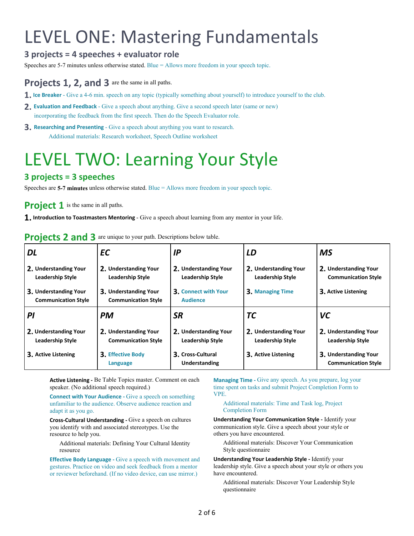# LEVEL ONE: Mastering Fundamentals

#### **3 projects = 4 speeches + evaluator role**

Speeches are 5-7 minutes unless otherwise stated. Blue = Allows more freedom in your speech topic.

#### **Projects 1, 2, and 3** are the same in all paths.

- **1. Ice Breaker**  Give a 4-6 min. speech on any topic (typically something about yourself) to introduce yourself to the club.
- **2. Evaluation and Feedback**  Give a speech about anything. Give a second speech later (same or new) incorporating the feedback from the first speech. Then do the Speech Evaluator role.
- **3. Researching and Presenting**  Give a speech about anything you want to research. Additional materials: Research worksheet, Speech Outline worksheet

## LEVEL TWO: Learning Your Style

#### **3 projects = 3 speeches**

Speeches are **5-7 minutes** unless otherwise stated. Blue = Allows more freedom in your speech topic.

**Project 1** is the same in all paths.

**1. Introduction to Toastmasters Mentoring** - Give a speech about learning from any mentor in your life.

| DL                                                  | EС                                                  | ΙP                                               | LD                                               | <b>MS</b>                                           |
|-----------------------------------------------------|-----------------------------------------------------|--------------------------------------------------|--------------------------------------------------|-----------------------------------------------------|
| 2. Understanding Your<br><b>Leadership Style</b>    | 2. Understanding Your<br><b>Leadership Style</b>    | 2. Understanding Your<br><b>Leadership Style</b> | 2. Understanding Your<br><b>Leadership Style</b> | 2. Understanding Your<br><b>Communication Style</b> |
| 3. Understanding Your<br><b>Communication Style</b> | 3. Understanding Your<br><b>Communication Style</b> | 3. Connect with Your<br><b>Audience</b>          | <b>3. Managing Time</b>                          | 3. Active Listening                                 |
| ΡI                                                  | <b>PM</b>                                           | <b>SR</b>                                        | <b>TC</b>                                        | VC                                                  |
| 2. Understanding Your<br><b>Leadership Style</b>    | 2. Understanding Your<br><b>Communication Style</b> | 2. Understanding Your<br><b>Leadership Style</b> | 2. Understanding Your<br><b>Leadership Style</b> | 2. Understanding Your<br><b>Leadership Style</b>    |
| 3. Active Listening                                 | <b>3. Effective Body</b><br>Language                | 3. Cross-Cultural<br>Understanding               | <b>3. Active Listening</b>                       | 3. Understanding Your<br><b>Communication Style</b> |

**Projects 2 and 3** are unique to your path. Descriptions below table.

**Active Listening ‐** Be Table Topics master. Comment on each speaker. (No additional speech required.)

**Connect with Your Audience - Give a speech on something** unfamiliar to the audience. Observe audience reaction and adapt it as you go.

**Cross‐Cultural Understanding ‐** Give a speech on cultures you identify with and associated stereotypes. Use the resource to help you.

Additional materials: Defining Your Cultural Identity resource

**Effective Body Language - Give a speech with movement and** gestures. Practice on video and seek feedback from a mentor or reviewer beforehand. (If no video device, can use mirror.)

**Managing Time -** Give any speech. As you prepare, log your time spent on tasks and submit Project Completion Form to VPE.

#### Additional materials: Time and Task log, Project Completion Form

**Understanding Your Communication Style ‐** Identify your communication style. Give a speech about your style or others you have encountered.

Additional materials: Discover Your Communication Style questionnaire

**Understanding Your Leadership Style ‐** Identify your leadership style. Give a speech about your style or others you have encountered.

Additional materials: Discover Your Leadership Style questionnaire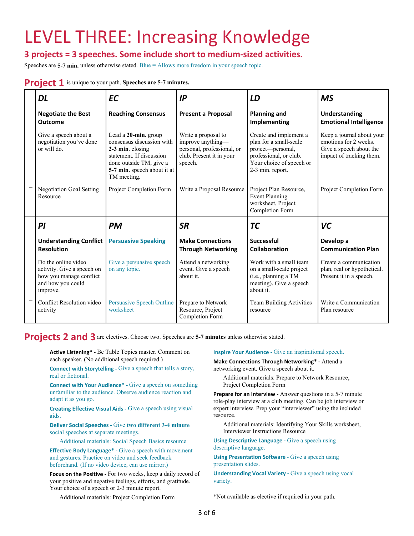## LEVEL THREE: Increasing Knowledge

#### **3 projects = 3 speeches. Some include short to medium‐sized activities.**

Speeches are **5-7 min.** unless otherwise stated. Blue = Allows more freedom in your speech topic.

#### **Project 1** is unique to your path. Speeches are 5-7 minutes.

|        | DL                                                                                                            | <b>EC</b>                                                                                                                                                                  | IP                                                                                                            | LD                                                                                                                                              | <b>MS</b>                                                                                                 |
|--------|---------------------------------------------------------------------------------------------------------------|----------------------------------------------------------------------------------------------------------------------------------------------------------------------------|---------------------------------------------------------------------------------------------------------------|-------------------------------------------------------------------------------------------------------------------------------------------------|-----------------------------------------------------------------------------------------------------------|
|        | <b>Negotiate the Best</b><br><b>Outcome</b>                                                                   | <b>Reaching Consensus</b>                                                                                                                                                  | <b>Present a Proposal</b>                                                                                     | <b>Planning and</b><br>Implementing                                                                                                             | <b>Understanding</b><br><b>Emotional Intelligence</b>                                                     |
|        | Give a speech about a<br>negotiation you've done<br>or will do.                                               | Lead a 20-min. group<br>consensus discussion with<br>2-3 min. closing<br>statement. If discussion<br>done outside TM, give a<br>5-7 min. speech about it at<br>TM meeting. | Write a proposal to<br>improve anything-<br>personal, professional, or<br>club. Present it in your<br>speech. | Create and implement a<br>plan for a small-scale<br>project-personal,<br>professional, or club.<br>Your choice of speech or<br>2-3 min. report. | Keep a journal about your<br>emotions for 2 weeks.<br>Give a speech about the<br>impact of tracking them. |
|        | <b>Negotiation Goal Setting</b><br>Resource                                                                   | Project Completion Form                                                                                                                                                    | Write a Proposal Resource                                                                                     | Project Plan Resource,<br><b>Event Planning</b><br>worksheet, Project<br>Completion Form                                                        | Project Completion Form                                                                                   |
|        | PI                                                                                                            | <b>PM</b>                                                                                                                                                                  | <b>SR</b>                                                                                                     | <b>TC</b>                                                                                                                                       | <b>VC</b>                                                                                                 |
|        | <b>Understanding Conflict</b><br><b>Resolution</b>                                                            | <b>Persuasive Speaking</b>                                                                                                                                                 | <b>Make Connections</b><br><b>Through Networking</b>                                                          | <b>Successful</b><br>Collaboration                                                                                                              | Develop a<br><b>Communication Plan</b>                                                                    |
|        | Do the online video<br>activity. Give a speech on<br>how you manage conflict<br>and how you could<br>improve. | Give a persuasive speech<br>on any topic.                                                                                                                                  | Attend a networking<br>event. Give a speech<br>about it.                                                      | Work with a small team<br>on a small-scale project<br>(i.e., planning a TM<br>meeting). Give a speech<br>about it.                              | Create a communication<br>plan, real or hypothetical.<br>Present it in a speech.                          |
| $^{+}$ | Conflict Resolution video<br>activity                                                                         | <b>Persuasive Speech Outline</b><br>worksheet                                                                                                                              | Prepare to Network<br>Resource, Project<br>Completion Form                                                    | <b>Team Building Activities</b><br>resource                                                                                                     | Write a Communication<br>Plan resource                                                                    |

**Projects 2 and 3**are electives. Choose two. Speeches are **5-7 minutes** unless otherwise stated.

**Active Listening\* ‐** Be Table Topics master. Comment on each speaker. (No additional speech required.)

**Connect with Storytelling - Give a speech that tells a story,** real or fictional.

**Connect with Your Audience\* - Give a speech on something** unfamiliar to the audience. Observe audience reaction and adapt it as you go.

**Creating Effective Visual Aids - Give a speech using visual** aids.

**Deliver Social Speeches ‐** Give **two different 3-4 minute** social speeches at separate meetings.

Additional materials: Social Speech Basics resource

**Effective Body Language\*** - Give a speech with movement and gestures. Practice on video and seek feedback beforehand. (If no video device, can use mirror.)

Focus on the Positive - For two weeks, keep a daily record of your positive and negative feelings, efforts, and gratitude. Your choice of a speech or 2-3 minute report.

**Inspire Your Audience - Give an inspirational speech.** 

**Make Connections Through Networking\* ‐** Attend a networking event. Give a speech about it.

Additional materials: Prepare to Network Resource, Project Completion Form

**Prepare for an Interview - Answer questions in a 5-7 minute** role-play interview at a club meeting. Can be job interview or expert interview. Prep your "interviewer" using the included resource.

Additional materials: Identifying Your Skills worksheet, Interviewer Instructions Resource

**Using Descriptive Language - Give a speech using** descriptive language.

**Using Presentation Software - Give a speech using** presentation slides.

**Understanding Vocal Variety - Give a speech using vocal** variety.

\*Not available as elective if required in your path.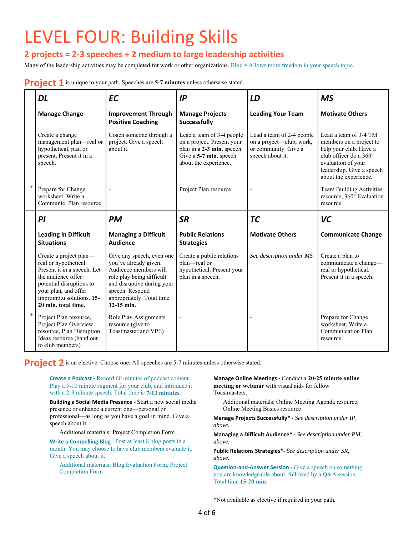# LEVEL FOUR: Building Skills

### **2 projects = 2‐3 speeches + 2 medium to large leadership activities**

Many of the leadership activities may be completed for work or other organizations. Blue = Allows more freedom in your speech topic.

#### **Project 1** is unique to your path. Speeches are 5-7 minutes unless otherwise stated.

| DL                                                                                                                                                                                                          | <b>EC</b>                                                                                                                                                                                            | IP                                                                                                                                       | LD                                                                                                | <b>MS</b>                                                                                                                                                                        |
|-------------------------------------------------------------------------------------------------------------------------------------------------------------------------------------------------------------|------------------------------------------------------------------------------------------------------------------------------------------------------------------------------------------------------|------------------------------------------------------------------------------------------------------------------------------------------|---------------------------------------------------------------------------------------------------|----------------------------------------------------------------------------------------------------------------------------------------------------------------------------------|
| <b>Manage Change</b>                                                                                                                                                                                        | <b>Improvement Through</b><br><b>Positive Coaching</b>                                                                                                                                               | <b>Manage Projects</b><br><b>Successfully</b>                                                                                            | <b>Leading Your Team</b>                                                                          | <b>Motivate Others</b>                                                                                                                                                           |
| Create a change<br>management plan-real or<br>hypothetical, past or<br>present. Present it in a<br>speech.                                                                                                  | Coach someone through a<br>project. Give a speech<br>about it.                                                                                                                                       | Lead a team of 3-4 people<br>on a project. Present your<br>plan in a 2-3 min. speech.<br>Give a 5-7 min. speech<br>about the experience. | Lead a team of 2-4 people<br>on a project-club, work,<br>or community. Give a<br>speech about it. | Lead a team of 3-4 TM<br>members on a project to<br>help your club. Have a<br>club officer do a 360°<br>evaluation of your<br>leadership. Give a speech<br>about the experience. |
| Prepare for Change<br>worksheet, Write a<br>Communic. Plan resource                                                                                                                                         |                                                                                                                                                                                                      | Project Plan resource                                                                                                                    | $\overline{a}$                                                                                    | Team Building Activities<br>resource, 360° Evaluation<br>resource                                                                                                                |
| PI                                                                                                                                                                                                          | <b>PM</b>                                                                                                                                                                                            | <b>SR</b>                                                                                                                                | <b>TC</b>                                                                                         | VC                                                                                                                                                                               |
| <b>Leading in Difficult</b><br><b>Situations</b>                                                                                                                                                            | <b>Managing a Difficult</b><br><b>Audience</b>                                                                                                                                                       | <b>Public Relations</b><br><b>Strategies</b>                                                                                             | <b>Motivate Others</b>                                                                            | <b>Communicate Change</b>                                                                                                                                                        |
| Create a project plan-<br>real or hypothetical.<br>Present it in a speech. Let<br>the audience offer<br>potential disruptions to<br>your plan, and offer<br>impromptu solutions. 15-<br>20 min. total time. | Give any speech, even one<br>you've already given.<br>Audience members will<br>role play being difficult<br>and disruptive during your<br>speech. Respond<br>appropriately. Total time<br>12-15 min. | Create a public relations<br>plan-real or<br>hypothetical. Present your<br>plan in a speech.                                             | See description under MS                                                                          | Create a plan to<br>communicate a change-<br>real or hypothetical.<br>Present it in a speech.                                                                                    |
| Project Plan resource,<br>Project Plan Overview<br>resource, Plan Disruption<br>Ideas resource (hand out<br>to club members)                                                                                | Role Play Assignments<br>resource (give to<br>Toastmaster and VPE)                                                                                                                                   |                                                                                                                                          |                                                                                                   | Prepare for Change<br>worksheet, Write a<br>Communication Plan<br>resource                                                                                                       |

**Project 2** is an elective. Choose one. All speeches are 5-7 minutes unless otherwise stated.

**Create a Podcast ‐** Record 60 minutes of podcast content. Play a 5-10 minute segment for your club, and introduce it with a 2-3 minute speech. Total time is **7-13 minutes**.

**Building a Social Media Presence ‐** Start a new social media presence or enhance a current one—personal or professional—as long as you have a goal in mind. Give a speech about it.

Additional materials: Project Completion Form

**Write a Compelling Blog - Post at least 8 blog posts in a** month. You may choose to have club members evaluate it. Give a speech about it.

Additional materials: Blog Evaluation Form, Project Completion Form

**Manage Online Meetings ‐** Conduct a **20-25 minute online meeting or webinar** with visual aids for fellow Toastmasters.

Additional materials: Online Meeting Agenda resource, Online Meeting Basics resource

**Manage Projects Successfully\* ‐** *See description under IP, above*.

**Managing a Difficult Audience\* ‐** *See description under PM, above*.

**Public Relations Strategies\*‐** *See description under SR, above.* 

**Question‐and‐Answer Session ‐** Give a speech on something you are knowledgeable about, followed by a Q&A session. Total time **15-20 min**.

\*Not available as elective if required in your path.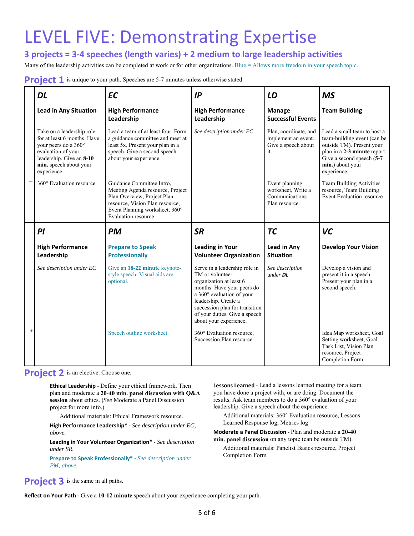## LEVEL FIVE: Demonstrating Expertise

**3 projects = 3‐4 speeches (length varies) + 2 medium to large leadership activities** 

Many of the leadership activities can be completed at work or for other organizations. Blue = Allows more freedom in your speech topic.

**Project 1** is unique to your path. Speeches are 5-7 minutes unless otherwise stated.

|           | <b>DL</b>                                                                                                                                                                   | <b>EC</b>                                                                                                                                                                                       | IP                                                                                                                                                                                                                                                          | LD                                                                         | <b>MS</b>                                                                                                                                                                               |
|-----------|-----------------------------------------------------------------------------------------------------------------------------------------------------------------------------|-------------------------------------------------------------------------------------------------------------------------------------------------------------------------------------------------|-------------------------------------------------------------------------------------------------------------------------------------------------------------------------------------------------------------------------------------------------------------|----------------------------------------------------------------------------|-----------------------------------------------------------------------------------------------------------------------------------------------------------------------------------------|
|           | <b>Lead in Any Situation</b>                                                                                                                                                | <b>High Performance</b><br>Leadership                                                                                                                                                           | <b>High Performance</b><br>Leadership                                                                                                                                                                                                                       | <b>Manage</b><br><b>Successful Events</b>                                  | <b>Team Building</b>                                                                                                                                                                    |
|           | Take on a leadership role<br>for at least 6 months. Have<br>your peers do a 360°<br>evaluation of your<br>leadership. Give an 8-10<br>min. speech about your<br>experience. | Lead a team of at least four. Form<br>a guidance committee and meet at<br>least 5x. Present your plan in a<br>speech. Give a second speech<br>about your experience.                            | See description under EC                                                                                                                                                                                                                                    | Plan, coordinate, and<br>implement an event.<br>Give a speech about<br>it. | Lead a small team to host a<br>team-building event (can be<br>outside TM). Present your<br>plan in a 2-3 minute report.<br>Give a second speech (5-7<br>min.) about your<br>experience. |
| $^{+}$    | 360° Evaluation resource                                                                                                                                                    | Guidance Committee Intro.<br>Meeting Agenda resource, Project<br>Plan Overview, Project Plan<br>resource, Vision Plan resource,<br>Event Planning worksheet, 360°<br><b>Evaluation</b> resource |                                                                                                                                                                                                                                                             | Event planning<br>worksheet, Write a<br>Communications<br>Plan resource    | Team Building Activities<br>resource, Team Building<br>Event Evaluation resource                                                                                                        |
|           | PI                                                                                                                                                                          | <b>PM</b>                                                                                                                                                                                       | <b>SR</b>                                                                                                                                                                                                                                                   | <b>TC</b>                                                                  | <b>VC</b>                                                                                                                                                                               |
|           | <b>High Performance</b><br>Leadership                                                                                                                                       | <b>Prepare to Speak</b><br><b>Professionally</b>                                                                                                                                                | <b>Leading in Your</b><br><b>Volunteer Organization</b>                                                                                                                                                                                                     | Lead in Any<br><b>Situation</b>                                            | <b>Develop Your Vision</b>                                                                                                                                                              |
|           | See description under EC                                                                                                                                                    | Give an 18-22 minute keynote-<br>style speech. Visual aids are<br>optional.                                                                                                                     | Serve in a leadership role in<br>TM or volunteer<br>organization at least 6<br>months. Have your peers do<br>a 360° evaluation of your<br>leadership. Create a<br>succession plan for transition<br>of your duties. Give a speech<br>about your experience. | See description<br>$under$ DL                                              | Develop a vision and<br>present it in a speech.<br>Present your plan in a<br>second speech.                                                                                             |
| $\ddot{}$ |                                                                                                                                                                             | Speech outline worksheet                                                                                                                                                                        | 360° Evaluation resource,<br>Succession Plan resource                                                                                                                                                                                                       |                                                                            | Idea Map worksheet, Goal<br>Setting worksheet, Goal<br>Task List, Vision Plan<br>resource, Project<br>Completion Form                                                                   |

**Project 2** is an elective. Choose one.

**Ethical Leadership - Define your ethical framework. Then** plan and moderate a **20-40 min. panel discussion with Q&A session** about ethics. (*See* Moderate a Panel Discussion project for more info.)

Additional materials: Ethical Framework resource.

**High Performance Leadership\* ‐** *See description under EC, above.*

**Leading in Your Volunteer Organization\* ‐** *See description under SR.* 

**Prepare to Speak Professionally\* ‐** *See description under PM, above.*

Lessons Learned - Lead a lessons learned meeting for a team you have done a project with, or are doing. Document the results. Ask team members to do a 360° evaluation of your leadership. Give a speech about the experience.

Additional materials: 360° Evaluation resource, Lessons Learned Response log, Metrics log

**Moderate a Panel Discussion ‐** Plan and moderate a **20-40 min. panel discussion** on any topic (can be outside TM).

Additional materials: Panelist Basics resource, Project Completion Form

**Project 3** is the same in all paths.

**Reflect on Your Path ‐** Give a **10-12 minute** speech about your experience completing your path.